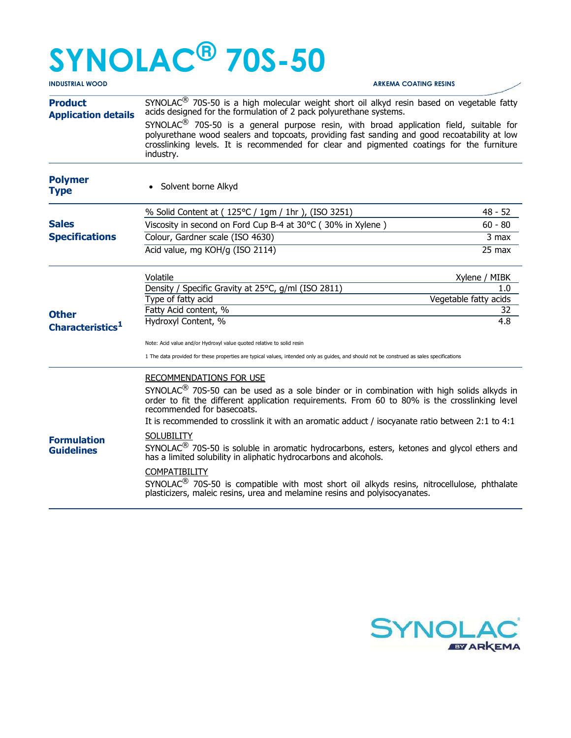## SYNOLAC® 70S-50

| <b>INDUSTRIAL WOOD</b>                       | <b>ARKEMA COATING RESINS</b>                                                                                                                                                                                                                                                                                 |                       |                        |  |
|----------------------------------------------|--------------------------------------------------------------------------------------------------------------------------------------------------------------------------------------------------------------------------------------------------------------------------------------------------------------|-----------------------|------------------------|--|
| <b>Product</b><br><b>Application details</b> | SYNOLAC <sup>®</sup> 70S-50 is a high molecular weight short oil alkyd resin based on vegetable fatty<br>acids designed for the formulation of 2 pack polyurethane systems.                                                                                                                                  |                       |                        |  |
|                                              | SYNOLAC <sup>®</sup> 70S-50 is a general purpose resin, with broad application field, suitable for<br>polyurethane wood sealers and topcoats, providing fast sanding and good recoatability at low<br>crosslinking levels. It is recommended for clear and pigmented coatings for the furniture<br>industry. |                       |                        |  |
| <b>Polymer</b><br><b>Type</b>                | Solvent borne Alkyd                                                                                                                                                                                                                                                                                          |                       |                        |  |
|                                              | % Solid Content at (125°C / 1gm / 1hr ), (ISO 3251)                                                                                                                                                                                                                                                          |                       | $48 - 52$              |  |
| <b>Sales</b>                                 | Viscosity in second on Ford Cup B-4 at 30°C (30% in Xylene)                                                                                                                                                                                                                                                  | $60 - 80$             |                        |  |
| <b>Specifications</b>                        | Colour, Gardner scale (ISO 4630)                                                                                                                                                                                                                                                                             |                       | 3 max                  |  |
|                                              | Acid value, mg KOH/g (ISO 2114)                                                                                                                                                                                                                                                                              |                       | $25$ max               |  |
|                                              | Volatile                                                                                                                                                                                                                                                                                                     | Xylene / MIBK         |                        |  |
|                                              | Density / Specific Gravity at 25°C, g/ml (ISO 2811)                                                                                                                                                                                                                                                          |                       | 1.0                    |  |
|                                              | Type of fatty acid                                                                                                                                                                                                                                                                                           | Vegetable fatty acids |                        |  |
| <b>Other</b><br>Characteristics <sup>1</sup> | Fatty Acid content, %<br>Hydroxyl Content, %                                                                                                                                                                                                                                                                 |                       | 32<br>$\overline{4.8}$ |  |
|                                              | Note: Acid value and/or Hydroxyl value quoted relative to solid resin                                                                                                                                                                                                                                        |                       |                        |  |
|                                              | 1 The data provided for these properties are typical values, intended only as guides, and should not be construed as sales specifications                                                                                                                                                                    |                       |                        |  |
|                                              | RECOMMENDATIONS FOR USE                                                                                                                                                                                                                                                                                      |                       |                        |  |
|                                              | SYNOLAC <sup>®</sup> 70S-50 can be used as a sole binder or in combination with high solids alkyds in<br>order to fit the different application requirements. From 60 to 80% is the crosslinking level<br>recommended for basecoats.                                                                         |                       |                        |  |
|                                              | It is recommended to crosslink it with an aromatic adduct / isocyanate ratio between 2:1 to 4:1                                                                                                                                                                                                              |                       |                        |  |
| <b>Formulation</b><br><b>Guidelines</b>      | <b>SOLUBILITY</b>                                                                                                                                                                                                                                                                                            |                       |                        |  |
|                                              | SYNOLAC <sup>®</sup> 70S-50 is soluble in aromatic hydrocarbons, esters, ketones and glycol ethers and<br>has a limited solubility in aliphatic hydrocarbons and alcohols.                                                                                                                                   |                       |                        |  |
|                                              | <b>COMPATIBILITY</b>                                                                                                                                                                                                                                                                                         |                       |                        |  |
|                                              | SYNOLAC <sup>®</sup> 70S-50 is compatible with most short oil alkyds resins, nitrocellulose, phthalate<br>plasticizers, maleic resins, urea and melamine resins and polyisocyanates.                                                                                                                         |                       |                        |  |
|                                              |                                                                                                                                                                                                                                                                                                              |                       |                        |  |